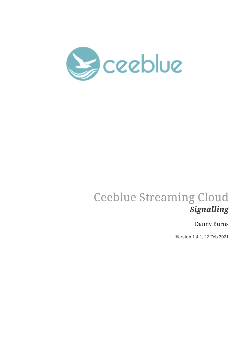

# Ceeblue Streaming Cloud *Signalling*

## Danny Burns

Version 1.4.1, 22 Feb 2021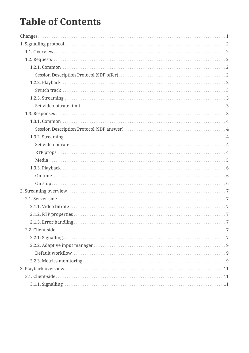# **Table of Contents**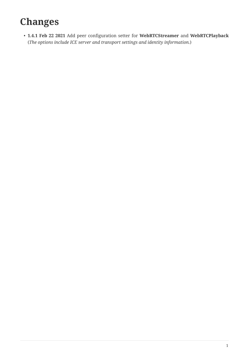# <span id="page-2-0"></span>**Changes**

• **1.4.1 Feb 22 2021** Add peer configuration setter for **WebRTCStreamer** and **WebRTCPlayback** (*The options include ICE server and transport settings and identity information.*)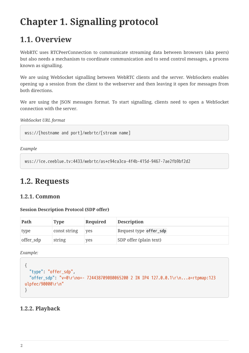# <span id="page-3-0"></span>**Chapter 1. Signalling protocol**

## <span id="page-3-1"></span>**1.1. Overview**

WebRTC uses RTCPeerConnection to communicate streaming data between browsers (aka peers) but also needs a mechanism to coordinate communication and to send control messages, a process known as signalling.

We are using WebSocket signalling between WebRTC clients and the server. WebSockets enables opening up a session from the client to the webserver and then leaving it open for messages from both directions.

We are using the JSON messages format. To start signalling, clients need to open a WebSocket connection with the server.

*WebSocket URL format*

wss://[hostname and port]/webrtc/[stream name]

*Example*

```
wss://ice.ceeblue.tv:4433/webrtc/as+c94ca3ca-4f4b-415d-9467-7ae2fb9bf2d2
```
## <span id="page-3-2"></span>**1.2. Requests**

## <span id="page-3-3"></span>**1.2.1. Common**

#### <span id="page-3-4"></span>**Session Description Protocol (SDP offer)**

| Path      | <b>Type</b>  | Required | <b>Description</b>     |
|-----------|--------------|----------|------------------------|
| type      | const string | ves      | Request type offer_sdp |
| offer_sdp | string       | yes      | SDP offer (plain text) |

*Example:*

```
{
    "type": "offer_sdp",
    "offer_sdp": "v=0\r\no=- 724438709080065200 2 IN IP4 127.0.0.1\r\n...a=rtpmap:123
ulpfec/90000\r\n"
}
```
### <span id="page-3-5"></span>**1.2.2. Playback**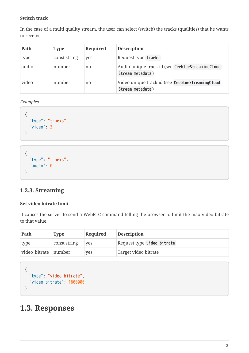#### <span id="page-4-0"></span>**Switch track**

In the case of a multi quality stream, the user can select (switch) the tracks (qualities) that he wants to receive.

| Path  | <b>Type</b>  | Required | <b>Description</b>                                                   |
|-------|--------------|----------|----------------------------------------------------------------------|
| type  | const string | yes      | Request type tracks                                                  |
| audio | number       | no       | Audio unique track id (see CeeblueStreamingCloud<br>Stream metadata) |
| video | number       | no       | Video unique track id (see CeeblueStreamingCloud<br>Stream metadata) |

*Examples*

```
{
    "type": "tracks",
    "video": 2
}
```

```
{
   "type": "tracks",
    "audio": 0
}
```
## <span id="page-4-1"></span>**1.2.3. Streaming**

### <span id="page-4-2"></span>**Set video bitrate limit**

It causes the server to send a WebRTC command telling the browser to limit the max video bitrate to that value.

| Path                 | <b>Type</b>  | Required   | <b>Description</b>         |
|----------------------|--------------|------------|----------------------------|
| type                 | const string | <b>ves</b> | Request type video_bitrate |
| video bitrate number |              | yes        | Target video bitrate       |

```
{
   "type": "video_bitrate",
   "video_bitrate": 1600000
}
```
## <span id="page-4-3"></span>**1.3. Responses**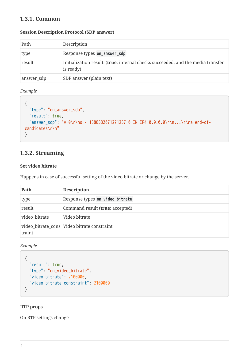## <span id="page-5-0"></span>**1.3.1. Common**

#### <span id="page-5-1"></span>**Session Description Protocol (SDP answer)**

| Path       | Description                                                                                           |
|------------|-------------------------------------------------------------------------------------------------------|
| type       | Response types on_answer_sdp                                                                          |
| result     | Initialization result. ( <b>true</b> : internal checks succeeded, and the media transfer<br>is ready) |
| answer_sdp | SDP answer (plain text)                                                                               |

*Example*

```
{
   "type": "on_answer_sdp",
    "result": true,
   "answer_sdp": "v=0\r\no=- 1588582671271257 0 IN IP4 0.0.0.0\r\n...\r\na=end-of-
candidates\r\n"
}
```
### <span id="page-5-2"></span>**1.3.2. Streaming**

#### <span id="page-5-3"></span>**Set video bitrate**

Happens in case of successful setting of the video bitrate or change by the server.

| Path          | <b>Description</b>                            |
|---------------|-----------------------------------------------|
| type          | Response types on_video_bitrate               |
| result        | Command result (true: accepted)               |
| video_bitrate | Video bitrate                                 |
| traint        | video_bitrate_cons   Video bitrate constraint |

*Example*

```
{
   "result": true,
    "type": "on_video_bitrate",
    "video_bitrate": 2100000,
    "video_bitrate_constraint": 2100000
}
```
#### <span id="page-5-4"></span>**RTP props**

On RTP settings change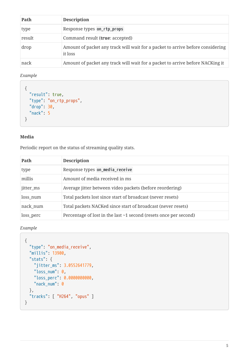| Path   | <b>Description</b>                                                                        |
|--------|-------------------------------------------------------------------------------------------|
| type   | Response types on_rtp_props                                                               |
| result | Command result (true: accepted)                                                           |
| drop   | Amount of packet any track will wait for a packet to arrive before considering<br>it loss |
| nack   | Amount of packet any track will wait for a packet to arrive before NACKing it             |

#### *Example*

```
{
   "result": true,
   "type": "on_rtp_props",
    "drop": 30,
    "nack": 5
}
```
#### <span id="page-6-0"></span>**Media**

Periodic report on the status of streaming quality stats.

| Path      | <b>Description</b>                                                      |
|-----------|-------------------------------------------------------------------------|
| type      | Response types on_media_receive                                         |
| millis    | Amount of media received in ms                                          |
| jitter_ms | Average jitter between video packets (before reordering)                |
| loss_num  | Total packets lost since start of broadcast (never resets)              |
| nack_num  | Total packets NACKed since start of broadcast (never resets)            |
| loss_perc | Percentage of lost in the last $\sim$ 1 second (resets once per second) |

```
{
   "type": "on_media_receive",
    "millis": 13900,
    "stats": {
      "jitter_ms": 3.0552641779,
    "loss_number: 0,  "loss_perc": 0.0000000000,
      "nack_num": 0
    },
    "tracks": [ "H264", "opus" ]
}
```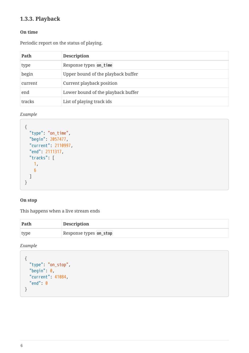## <span id="page-7-0"></span>**1.3.3. Playback**

#### <span id="page-7-1"></span>**On time**

Periodic report on the status of playing.

| Path    | <b>Description</b>                 |
|---------|------------------------------------|
| type    | Response types on_time             |
| begin   | Upper bound of the playback buffer |
| current | Current playback position          |
| end     | Lower bound of the playback buffer |
| tracks  | List of playing track ids          |

*Example*

```
{
   "type": "on_time",
    "begin": 2057477,
    "current": 2110997,
    "end": 2111317,
    "tracks": [
     1,
      6
    ]
}
```
### <span id="page-7-2"></span>**On stop**

This happens when a live stream ends

| Path | <b>Description</b>     |
|------|------------------------|
| type | Response types on_stop |

```
{
   "type": "on_stop",
    "begin": 0,
    "current": 41084,
    "end": 0
}
```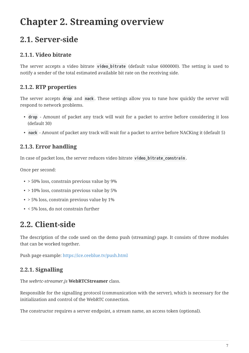# <span id="page-8-0"></span>**Chapter 2. Streaming overview**

## <span id="page-8-1"></span>**2.1. Server-side**

## <span id="page-8-2"></span>**2.1.1. Video bitrate**

The server accepts a video bitrate **video\_bitrate** (default value 6000000). The setting is used to notify a sender of the total estimated available bit rate on the receiving side.

## <span id="page-8-3"></span>**2.1.2. RTP properties**

The server accepts **drop** and **nack** . These settings allow you to tune how quickly the server will respond to network problems.

- **drop** Amount of packet any track will wait for a packet to arrive before considering it loss (default 30)
- **nack** Amount of packet any track will wait for a packet to arrive before NACKing it (default 5)

## <span id="page-8-4"></span>**2.1.3. Error handling**

In case of packet loss, the server reduces video bitrate video bitrate constrain.

Once per second:

- > 50% loss, constrain previous value by 9%
- > 10% loss, constrain previous value by 5%
- $\cdot$  > 5% loss, constrain previous value by 1%
- < 5% loss, do not constrain further

## <span id="page-8-5"></span>**2.2. Client-side**

The description of the code used on the demo push (streaming) page. It consists of three modules that can be worked together.

Push page example:<https://ice.ceeblue.tv/push.html>

## <span id="page-8-6"></span>**2.2.1. Signalling**

The *webrtc-streamer.js* **WebRTCStreamer** class.

Responsible for the signalling protocol (communication with the server), which is necessary for the initialization and control of the WebRTC connection.

The constructor requires a server endpoint, a stream name, an access token (optional).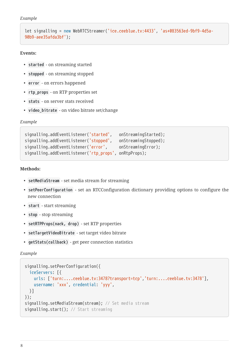```
Example
```

```
let signalling = new WebRTCStreamer('ice.ceeblue.tv:4433', 'as+083563ed-9bf9-4d5a-
90b9-aee35afda3bf');
```
#### **Events:**

- **started** on streaming started
- **stopped** on streaming stopped
- **error** on errors happened
- **rtp\_props** on RTP properties set
- **stats** on server stats received
- **video\_bitrate** on video bitrate set/change

*Example*

```
signalling.addEventListener('started', onStreamingStarted);
signalling.addEventListener('stopped', onStreamingStopped);
signalling.addEventListener('error', onStreamingError);
signalling.addEventListener('rtp_props', onRtpProps);
```
**Methods:**

- **setMediaStream** set media stream for streaming
- **setPeerConfiguration** set an RTCConfiguration dictionary providing options to configure the new connection
- **start** start streaming
- **stop** stop streaming
- **setRTPProps(nack, drop)** set RTP properties
- **setTargetVideoBitrate** set target video bitrate
- **getStats(callback)** get peer connection statistics

```
signalling.setPeerConfiguration({
   iceServers: [{
      urls: ['turn:....ceeblue.tv:3478?transport=tcp','turn:....ceeblue.tv:3478'],
      username: 'xxx', credential: 'yyy',
   }]
});
signalling.setMediaStream(stream); // Set media stream
signalling.start(); // Start streaming
```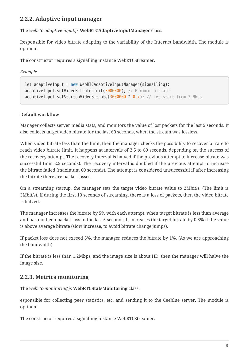## <span id="page-10-0"></span>**2.2.2. Adaptive input manager**

The *webrtc-adaptive-input.js* **WebRTCAdaptiveInputManager** class.

Responsible for video bitrate adapting to the variability of the Internet bandwidth. The module is optional.

The constructor requires a signalling instance WebRTCStreamer.

*Example*

```
let adaptiveInput = new WebRTCAdaptiveInputManager(signalling);
adaptiveInput.setVideoBitrateLimit(3000000); // Maximum bitrate
adaptiveInput.setStartupVideoBitrate(3000000 * 0.7); // Let start from 2 Mbps
```
#### <span id="page-10-1"></span>**Default workflow**

Manager collects server media stats, and monitors the value of lost packets for the last 5 seconds. It also collects target video bitrate for the last 60 seconds, when the stream was lossless.

When video bitrate less than the limit, then the manager checks the possibility to recover bitrate to reach video bitrate limit. It happens at intervals of 2,5 to 60 seconds, depending on the success of the recovery attempt. The recovery interval is halved if the previous attempt to increase bitrate was successful (min 2.5 seconds). The recovery interval is doubled if the previous attempt to increase the bitrate failed (maximum 60 seconds). The attempt is considered unsuccessful if after increasing the bitrate there are packet losses.

On a streaming startup, the manager sets the target video bitrate value to 2Mbit/s. (The limit is 3Mbit/s). If during the first 10 seconds of streaming, there is a loss of packets, then the video bitrate is halved.

The manager increases the bitrate by 5% with each attempt, when target bitrate is less than average and has not been packet loss in the last 5 seconds. It increases the target bitrate by 0.5% if the value is above average bitrate (slow increase, to avoid bitrate change jumps).

If packet loss does not exceed 5%, the manager reduces the bitrate by 1%. (As we are approaching the bandwidth)

If the bitrate is less than 1.2Mbps, and the image size is about HD, then the manager will halve the image size.

## <span id="page-10-2"></span>**2.2.3. Metrics monitoring**

The *webrtc-monitoring.js* **WebRTCStatsMonitoring** class.

esponsible for collecting peer statistics, etc, and sending it to the Ceeblue server. The module is optional.

The constructor requires a signalling instance WebRTCStreamer.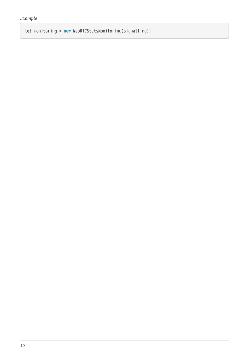let monitoring = new WebRTCStatsMonitoring(signalling);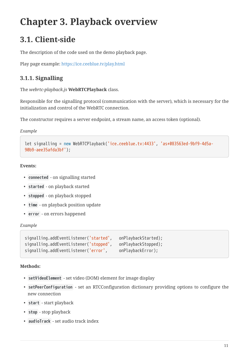# <span id="page-12-0"></span>**Chapter 3. Playback overview**

## <span id="page-12-1"></span>**3.1. Client-side**

The description of the code used on the demo playback page.

Play page example:<https://ice.ceeblue.tv/play.html>

## <span id="page-12-2"></span>**3.1.1. Signalling**

The *webrtc-playback.js* **WebRTCPlayback** class.

Responsible for the signalling protocol (communication with the server), which is necessary for the initialization and control of the WebRTC connection.

The constructor requires a server endpoint, a stream name, an access token (optional).

*Example*

```
let signalling = new WebRTCPlayback('ice.ceeblue.tv:4433', 'as+083563ed-9bf9-4d5a-
90b9-aee35afda3bf');
```
**Events:**

- **connected** on signalling started
- **started** on playback started
- **stopped** on playback stopped
- **time** on playback position update
- **error** on errors happened

#### *Example*

```
signalling.addEventListener('started', onPlaybackStarted);
signalling.addEventListener('stopped', onPlaybackStopped);
signalling.addEventListener('error', onPlaybackError);
```
#### **Methods:**

- **setVideoElement** set video (DOM) element for image display
- **setPeerConfiguration** set an RTCConfiguration dictionary providing options to configure the new connection
- **start** start playback
- **stop** stop playback
- **audioTrack** set audio track index